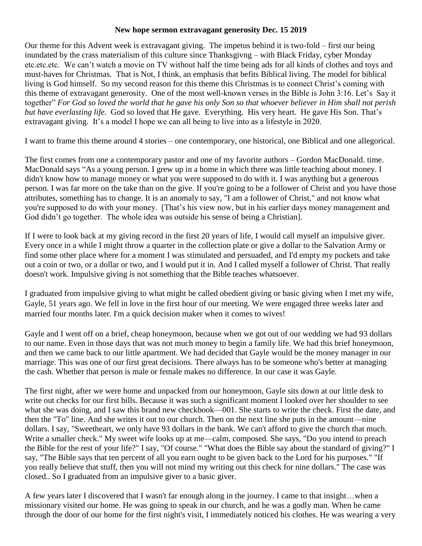## **New hope sermon extravagant generosity Dec. 15 2019**

Our theme for this Advent week is extravagant giving. The impetus behind it is two-fold – first our being inundated by the crass materialism of this culture since Thanksgivng – with Black Friday, cyber Monday etc.etc.etc. We can't watch a movie on TV without half the time being ads for all kinds of clothes and toys and must-haves for Christmas. That is Not, I think, an emphasis that befits Biblical living. The model for biblical living is God himself. So my second reason for this theme this Christmas is to connect Christ's coming with this theme of extravagant generosity. One of the most well-known verses in the Bible is John 3:16. Let's Say it together" *For God so loved the world that he gave his only Son so that whoever believer in Him shall not perish but have everlasting life.* God so loved that He gave. Everything. His very heart. He gave His Son. That's extravagant giving. It's a model I hope we can all being to live into as a lifestyle in 2020.

I want to frame this theme around 4 stories – one contemporary, one historical, one Biblical and one allegorical.

The first comes from one a contemporary pastor and one of my favorite authors – Gordon MacDonald. time. MacDonald says "As a young person. I grew up in a home in which there was little teaching about money. I didn't know how to manage money or what you were supposed to do with it. I was anything but a generous person. I was far more on the take than on the give. If you're going to be a follower of Christ and you have those attributes, something has to change. It is an anomaly to say, "I am a follower of Christ," and not know what you're supposed to do with your money. [That's his view now, but in his earlier days money management and God didn't go together. The whole idea was outside his sense of being a Christian].

If I were to look back at my giving record in the first 20 years of life, I would call myself an impulsive giver. Every once in a while I might throw a quarter in the collection plate or give a dollar to the Salvation Army or find some other place where for a moment I was stimulated and persuaded, and I'd empty my pockets and take out a coin or two, or a dollar or two, and I would put it in. And I called myself a follower of Christ. That really doesn't work. Impulsive giving is not something that the Bible teaches whatsoever.

I graduated from impulsive giving to what might be called obedient giving or basic giving when I met my wife, Gayle, 51 years ago. We fell in love in the first hour of our meeting. We were engaged three weeks later and married four months later. I'm a quick decision maker when it comes to wives!

Gayle and I went off on a brief, cheap honeymoon, because when we got out of our wedding we had 93 dollars to our name. Even in those days that was not much money to begin a family life. We had this brief honeymoon, and then we came back to our little apartment. We had decided that Gayle would be the money manager in our marriage. This was one of our first great decisions. There always has to be someone who's better at managing the cash. Whether that person is male or female makes no difference. In our case it was Gayle.

The first night, after we were home and unpacked from our honeymoon, Gayle sits down at our little desk to write out checks for our first bills. Because it was such a significant moment I looked over her shoulder to see what she was doing, and I saw this brand new checkbook—001. She starts to write the check. First the date, and then the "To" line. And she writes it out to our church. Then on the next line she puts in the amount—nine dollars. I say, "Sweetheart, we only have 93 dollars in the bank. We can't afford to give the church that much. Write a smaller check." My sweet wife looks up at me—calm, composed. She says, "Do you intend to preach the Bible for the rest of your life?" I say, "Of course." "What does the Bible say about the standard of giving?" I say, "The Bible says that ten percent of all you earn ought to be given back to the Lord for his purposes." "If you really believe that stuff, then you will not mind my writing out this check for nine dollars." The case was closed.. So I graduated from an impulsive giver to a basic giver.

A few years later I discovered that I wasn't far enough along in the journey. I came to that insight…when a missionary visited our home. He was going to speak in our church, and he was a godly man. When he came through the door of our home for the first night's visit, I immediately noticed his clothes. He was wearing a very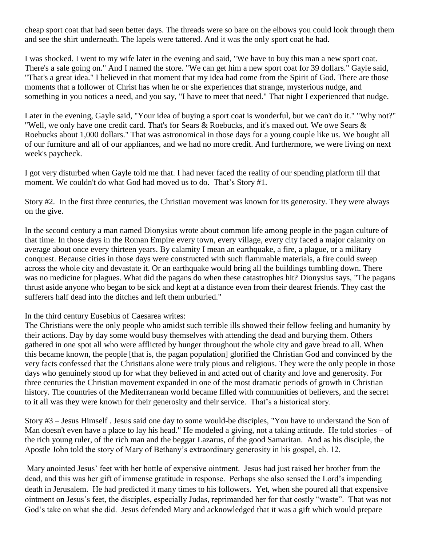cheap sport coat that had seen better days. The threads were so bare on the elbows you could look through them and see the shirt underneath. The lapels were tattered. And it was the only sport coat he had.

I was shocked. I went to my wife later in the evening and said, "We have to buy this man a new sport coat. There's a sale going on." And I named the store. "We can get him a new sport coat for 39 dollars." Gayle said, "That's a great idea." I believed in that moment that my idea had come from the Spirit of God. There are those moments that a follower of Christ has when he or she experiences that strange, mysterious nudge, and something in you notices a need, and you say, "I have to meet that need." That night I experienced that nudge.

Later in the evening, Gayle said, "Your idea of buying a sport coat is wonderful, but we can't do it." "Why not?" "Well, we only have one credit card. That's for Sears & Roebucks, and it's maxed out. We owe Sears & Roebucks about 1,000 dollars." That was astronomical in those days for a young couple like us. We bought all of our furniture and all of our appliances, and we had no more credit. And furthermore, we were living on next week's paycheck.

I got very disturbed when Gayle told me that. I had never faced the reality of our spending platform till that moment. We couldn't do what God had moved us to do. That's Story #1.

Story #2. In the first three centuries, the Christian movement was known for its generosity. They were always on the give.

In the second century a man named Dionysius wrote about common life among people in the pagan culture of that time. In those days in the Roman Empire every town, every village, every city faced a major calamity on average about once every thirteen years. By calamity I mean an earthquake, a fire, a plague, or a military conquest. Because cities in those days were constructed with such flammable materials, a fire could sweep across the whole city and devastate it. Or an earthquake would bring all the buildings tumbling down. There was no medicine for plagues. What did the pagans do when these catastrophes hit? Dionysius says, "The pagans thrust aside anyone who began to be sick and kept at a distance even from their dearest friends. They cast the sufferers half dead into the ditches and left them unburied."

## In the third century Eusebius of Caesarea writes:

The Christians were the only people who amidst such terrible ills showed their fellow feeling and humanity by their actions. Day by day some would busy themselves with attending the dead and burying them. Others gathered in one spot all who were afflicted by hunger throughout the whole city and gave bread to all. When this became known, the people [that is, the pagan population] glorified the Christian God and convinced by the very facts confessed that the Christians alone were truly pious and religious. They were the only people in those days who genuinely stood up for what they believed in and acted out of charity and love and generosity. For three centuries the Christian movement expanded in one of the most dramatic periods of growth in Christian history. The countries of the Mediterranean world became filled with communities of believers, and the secret to it all was they were known for their generosity and their service. That's a historical story.

Story #3 – Jesus Himself . Jesus said one day to some would-be disciples, "You have to understand the Son of Man doesn't even have a place to lay his head." He modeled a giving, not a taking attitude. He told stories – of the rich young ruler, of the rich man and the beggar Lazarus, of the good Samaritan. And as his disciple, the Apostle John told the story of Mary of Bethany's extraordinary generosity in his gospel, ch. 12.

Mary anointed Jesus' feet with her bottle of expensive ointment. Jesus had just raised her brother from the dead, and this was her gift of immense gratitude in response. Perhaps she also sensed the Lord's impending death in Jerusalem. He had predicted it many times to his followers. Yet, when she poured all that expensive ointment on Jesus's feet, the disciples, especially Judas, reprimanded her for that costly "waste". That was not God's take on what she did. Jesus defended Mary and acknowledged that it was a gift which would prepare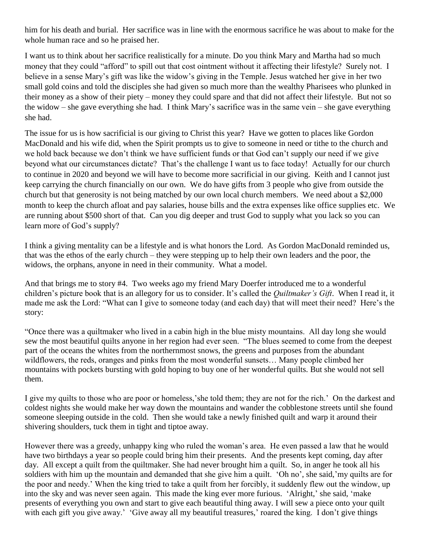him for his death and burial. Her sacrifice was in line with the enormous sacrifice he was about to make for the whole human race and so he praised her.

I want us to think about her sacrifice realistically for a minute. Do you think Mary and Martha had so much money that they could "afford" to spill out that cost ointment without it affecting their lifestyle? Surely not. I believe in a sense Mary's gift was like the widow's giving in the Temple. Jesus watched her give in her two small gold coins and told the disciples she had given so much more than the wealthy Pharisees who plunked in their money as a show of their piety – money they could spare and that did not affect their lifestyle. But not so the widow – she gave everything she had. I think Mary's sacrifice was in the same vein – she gave everything she had.

The issue for us is how sacrificial is our giving to Christ this year? Have we gotten to places like Gordon MacDonald and his wife did, when the Spirit prompts us to give to someone in need or tithe to the church and we hold back because we don't think we have sufficient funds or that God can't supply our need if we give beyond what our circumstances dictate? That's the challenge I want us to face today! Actually for our church to continue in 2020 and beyond we will have to become more sacrificial in our giving. Keith and I cannot just keep carrying the church financially on our own. We do have gifts from 3 people who give from outside the church but that generosity is not being matched by our own local church members. We need about a \$2,000 month to keep the church afloat and pay salaries, house bills and the extra expenses like office supplies etc. We are running about \$500 short of that. Can you dig deeper and trust God to supply what you lack so you can learn more of God's supply?

I think a giving mentality can be a lifestyle and is what honors the Lord. As Gordon MacDonald reminded us, that was the ethos of the early church – they were stepping up to help their own leaders and the poor, the widows, the orphans, anyone in need in their community. What a model.

And that brings me to story #4. Two weeks ago my friend Mary Doerfer introduced me to a wonderful children's picture book that is an allegory for us to consider. It's called the *Quiltmaker's Gift*. When I read it, it made me ask the Lord: "What can I give to someone today (and each day) that will meet their need? Here's the story:

"Once there was a quiltmaker who lived in a cabin high in the blue misty mountains. All day long she would sew the most beautiful quilts anyone in her region had ever seen. "The blues seemed to come from the deepest part of the oceans the whites from the northernmost snows, the greens and purposes from the abundant wildflowers, the reds, oranges and pinks from the most wonderful sunsets… Many people climbed her mountains with pockets bursting with gold hoping to buy one of her wonderful quilts. But she would not sell them.

I give my quilts to those who are poor or homeless,'she told them; they are not for the rich.' On the darkest and coldest nights she would make her way down the mountains and wander the cobblestone streets until she found someone sleeping outside in the cold. Then she would take a newly finished quilt and warp it around their shivering shoulders, tuck them in tight and tiptoe away.

However there was a greedy, unhappy king who ruled the woman's area. He even passed a law that he would have two birthdays a year so people could bring him their presents. And the presents kept coming, day after day. All except a quilt from the quiltmaker. She had never brought him a quilt. So, in anger he took all his soldiers with him up the mountain and demanded that she give him a quilt. 'Oh no', she said,'my quilts are for the poor and needy.' When the king tried to take a quilt from her forcibly, it suddenly flew out the window, up into the sky and was never seen again. This made the king ever more furious. 'Alright,' she said, 'make presents of everything you own and start to give each beautiful thing away. I will sew a piece onto your quilt with each gift you give away.' 'Give away all my beautiful treasures,' roared the king. I don't give things